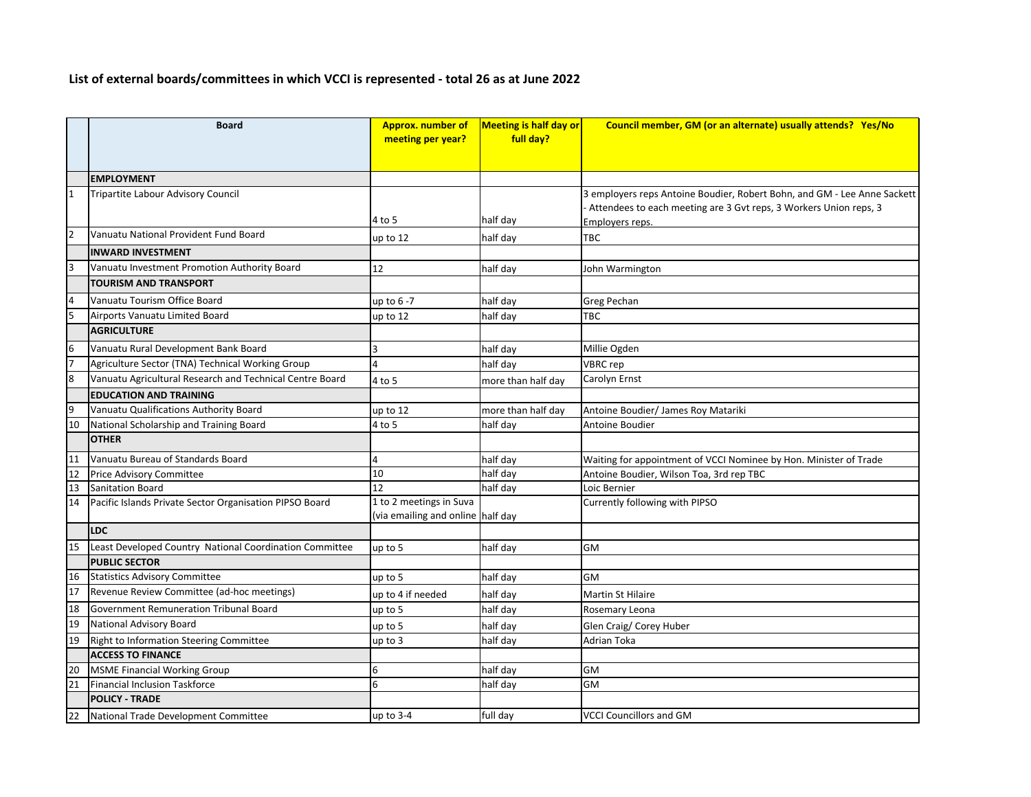## **List of external boards/committees in which VCCI is represented - total 26 as at June 2022**

|                 | <b>Board</b>                                             | <b>Approx. number of</b><br>meeting per year? | <b>Meeting is half day or</b><br>full day? | Council member, GM (or an alternate) usually attends? Yes/No             |
|-----------------|----------------------------------------------------------|-----------------------------------------------|--------------------------------------------|--------------------------------------------------------------------------|
|                 |                                                          |                                               |                                            |                                                                          |
|                 | <b>EMPLOYMENT</b>                                        |                                               |                                            |                                                                          |
| $\mathbf{1}$    | Tripartite Labour Advisory Council                       |                                               |                                            | 3 employers reps Antoine Boudier, Robert Bohn, and GM - Lee Anne Sackett |
|                 |                                                          |                                               |                                            | Attendees to each meeting are 3 Gvt reps, 3 Workers Union reps, 3        |
|                 |                                                          | 4 to 5                                        | half day                                   | Employers reps.                                                          |
| $\overline{2}$  | Vanuatu National Provident Fund Board                    | up to $12$                                    | half day                                   | <b>TBC</b>                                                               |
|                 | <b>INWARD INVESTMENT</b>                                 |                                               |                                            |                                                                          |
| 3               | Vanuatu Investment Promotion Authority Board             | 12                                            | half day                                   | John Warmington                                                          |
|                 | <b>TOURISM AND TRANSPORT</b>                             |                                               |                                            |                                                                          |
| 4               | Vanuatu Tourism Office Board                             | up to $6 - 7$                                 | half day                                   | Greg Pechan                                                              |
| 5               | Airports Vanuatu Limited Board                           | up to 12                                      | half day                                   | <b>TBC</b>                                                               |
|                 | <b>AGRICULTURE</b>                                       |                                               |                                            |                                                                          |
| 6               | Vanuatu Rural Development Bank Board                     |                                               | half day                                   | Millie Ogden                                                             |
| 17              | Agriculture Sector (TNA) Technical Working Group         |                                               | half day                                   | <b>VBRC</b> rep                                                          |
| 8               | Vanuatu Agricultural Research and Technical Centre Board | 4 to 5                                        | more than half day                         | Carolyn Ernst                                                            |
|                 | <b>EDUCATION AND TRAINING</b>                            |                                               |                                            |                                                                          |
| 9               | Vanuatu Qualifications Authority Board                   | up to 12                                      | more than half day                         | Antoine Boudier/ James Roy Matariki                                      |
| 10              | National Scholarship and Training Board                  | 4 to 5                                        | half day                                   | Antoine Boudier                                                          |
|                 | <b>OTHER</b>                                             |                                               |                                            |                                                                          |
| 11              | Vanuatu Bureau of Standards Board                        |                                               | half day                                   | Waiting for appointment of VCCI Nominee by Hon. Minister of Trade        |
| 12              | <b>Price Advisory Committee</b>                          | 10                                            | half day                                   | Antoine Boudier, Wilson Toa, 3rd rep TBC                                 |
| 13              | Sanitation Board                                         | 12                                            | half day                                   | Loic Bernier                                                             |
| 14              | Pacific Islands Private Sector Organisation PIPSO Board  | 1 to 2 meetings in Suva                       |                                            | Currently following with PIPSO                                           |
|                 |                                                          | (via emailing and online half day             |                                            |                                                                          |
|                 | LDC                                                      |                                               |                                            |                                                                          |
| 15              | Least Developed Country National Coordination Committee  | up to 5                                       | half day                                   | GM                                                                       |
|                 | <b>PUBLIC SECTOR</b>                                     |                                               |                                            |                                                                          |
| 16              | Statistics Advisory Committee                            | up to 5                                       | half day                                   | GM                                                                       |
| $\overline{17}$ | Revenue Review Committee (ad-hoc meetings)               | up to 4 if needed                             | half day                                   | Martin St Hilaire                                                        |
| 18              | Government Remuneration Tribunal Board                   | up to 5                                       | half day                                   | Rosemary Leona                                                           |
| 19              | National Advisory Board                                  | up to 5                                       | half day                                   | Glen Craig/ Corey Huber                                                  |
| 19              | Right to Information Steering Committee                  | up to 3                                       | half day                                   | Adrian Toka                                                              |
|                 | <b>ACCESS TO FINANCE</b>                                 |                                               |                                            |                                                                          |
| 20              | MSME Financial Working Group                             | 6                                             | half day                                   | GM                                                                       |
| 21              | Financial Inclusion Taskforce                            | 6                                             | half day                                   | GM                                                                       |
|                 | <b>POLICY - TRADE</b>                                    |                                               |                                            |                                                                          |
| 22              | National Trade Development Committee                     | up to $3-4$                                   | full day                                   | <b>VCCI Councillors and GM</b>                                           |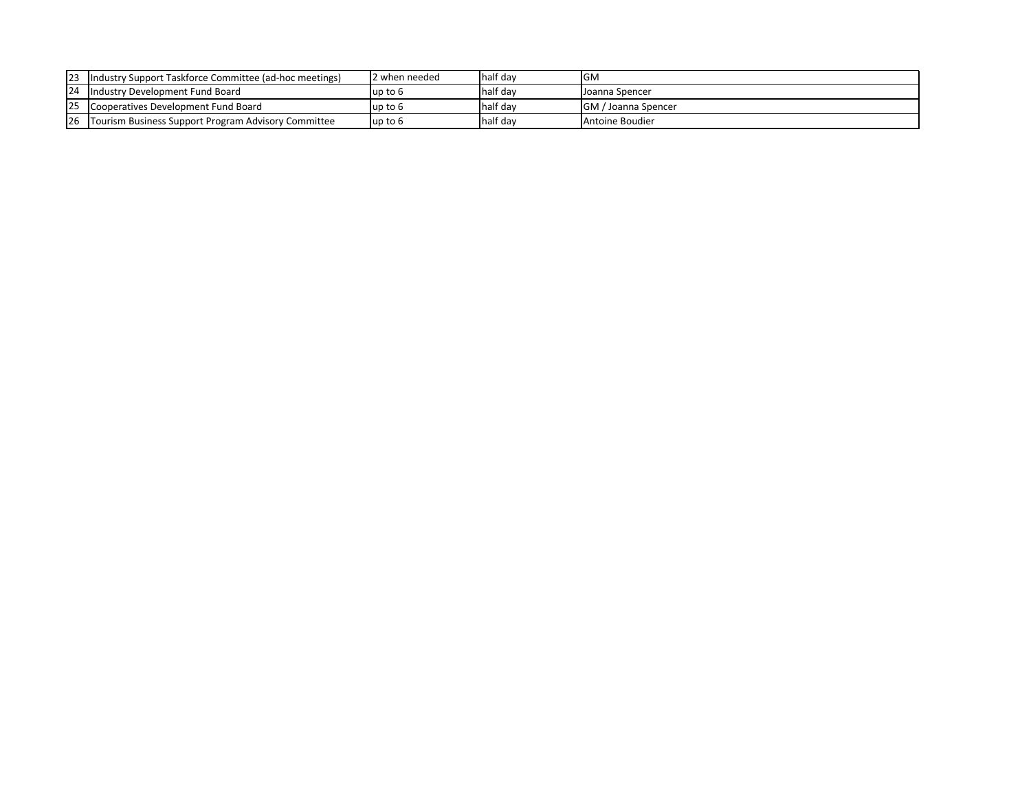| $ 23\rangle$ | Industry Support Taskforce Committee (ad-hoc meetings) | I2 when needed | half day | IGM                        |
|--------------|--------------------------------------------------------|----------------|----------|----------------------------|
|              | 24 Industry Development Fund Board                     | lup to 6       | half day | IJoanna Spencer            |
|              | Cooperatives Development Fund Board                    | lup to 6       | half day | <b>GM</b> / Joanna Spencer |
| <u>26</u>    | Tourism Business Support Program Advisory Committee    | lup to 6       | half day | <b>I</b> Antoine Boudier   |